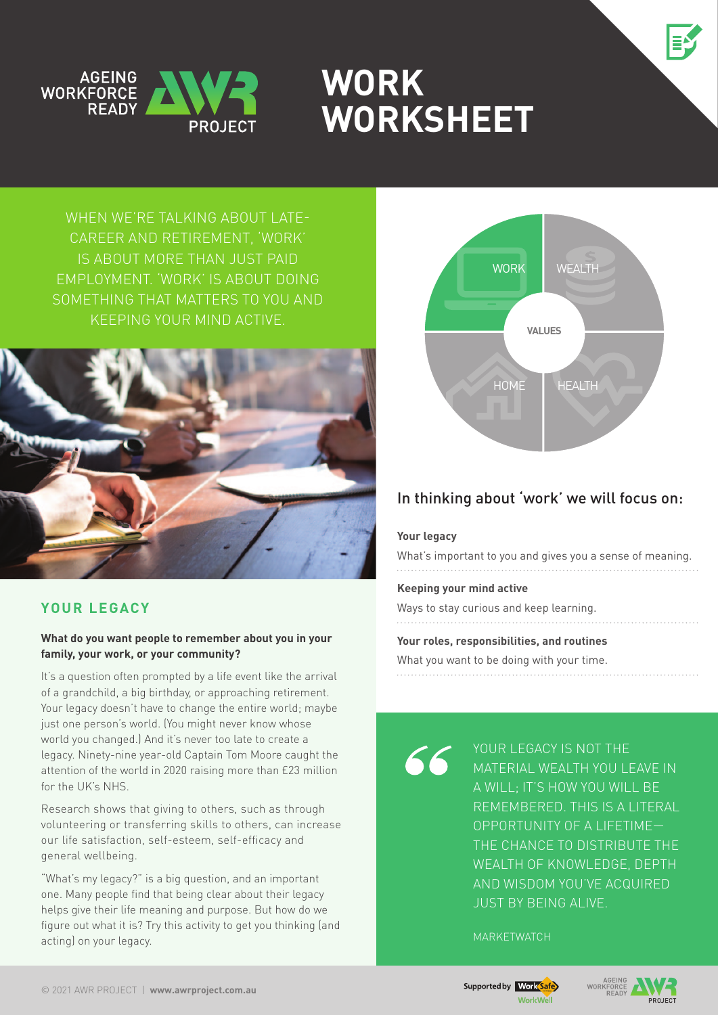



# **Work Worksheet**

WHEN WE'RE TALKING ABOUT LATEcareer and retirement, 'work' is about more than just paid employment. 'Work' is about doing something that matters to you and keeping your mind active.



# **Your Legacy**

#### **What do you want people to remember about you in your family, your work, or your community?**

It's a question often prompted by a life event like the arrival of a grandchild, a big birthday, or approaching retirement. Your legacy doesn't have to change the entire world; maybe just one person's world. (You might never know whose world you changed.) And it's never too late to create a legacy. Ninety-nine year-old Captain Tom Moore caught the attention of the world in 2020 raising more than £23 million for the UK's NHS.

Research shows that giving to others, such as through volunteering or transferring skills to others, can increase our life satisfaction, self-esteem, self-efficacy and general wellbeing.

"What's my legacy?" is a big question, and an important one. Many people find that being clear about their legacy helps give their life meaning and purpose. But how do we figure out what it is? Try this activity to get you thinking (and acting) on your legacy.



# In thinking about 'work' we will focus on:

#### **Your legacy**

What's important to you and gives you a sense of meaning.

#### **Keeping your mind active**

Ways to stay curious and keep learning.

#### **Your roles, responsibilities, and routines**

What you want to be doing with your time.

66

YOUR LEGACY IS NOT THE material wealth you leave in A WILL: IT'S HOW YOU WILL BE remembered. This is a literal opportunity of a lifetime the chance to distribute the wealth of knowledge, depth and wisdom you've acquired just by being alive.

**MARKETWATCH** 



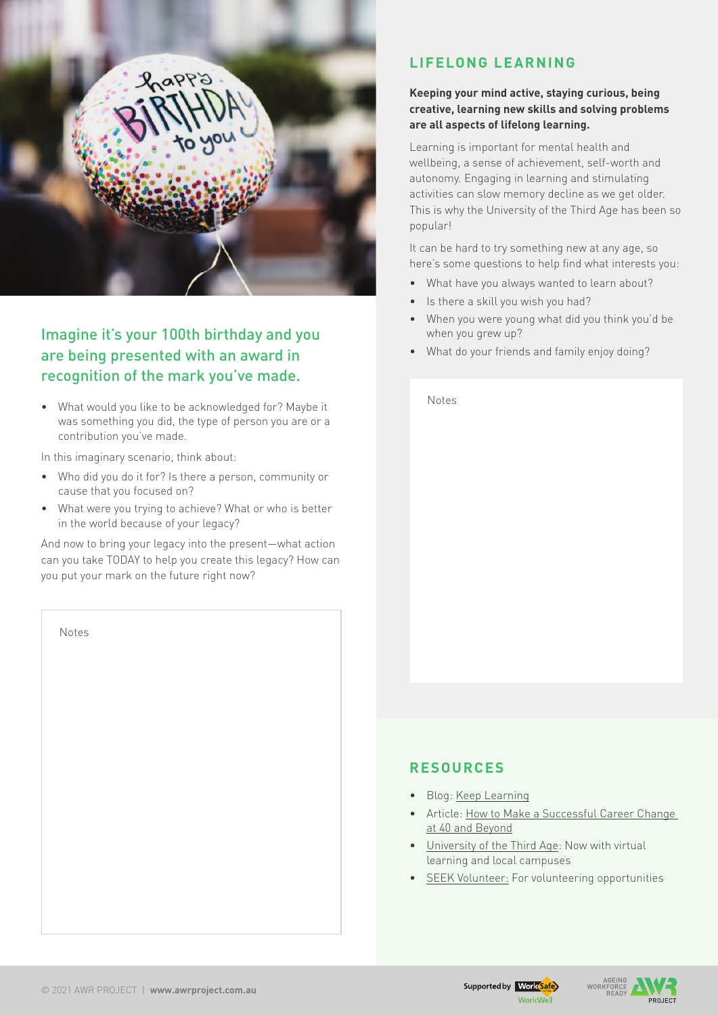

# Imagine it's your 100th birthday and you are being presented with an award in recognition of the mark you've made.

• What would you like to be acknowledged for? Maybe it was something you did, the type of person you are or a contribution you've made.

In this imaginary scenario, think about:

- • Who did you do it for? Is there a person, community or cause that you focused on?
- • What were you trying to achieve? What or who is better in the world because of your legacy?

And now to bring your legacy into the present—what action can you take TODAY to help you create this legacy? How can you put your mark on the future right now?

| Notes |  |  |  |
|-------|--|--|--|
|       |  |  |  |
|       |  |  |  |
|       |  |  |  |
|       |  |  |  |
|       |  |  |  |
|       |  |  |  |
|       |  |  |  |
|       |  |  |  |

## **Lifelong Learning**

#### **Keeping your mind active, staying curious, being creative, learning new skills and solving problems are all aspects of lifelong learning.**

Learning is important for mental health and wellbeing, a sense of achievement, self-worth and autonomy. Engaging in learning and stimulating activities can slow memory decline as we get older. This is why the University of the Third Age has been so popular!

It can be hard to try something new at any age, so here's some questions to help find what interests you:

- What have you always wanted to learn about?
- Is there a skill you wish you had?
- When you were young what did you think you'd be when you grew up?
- What do your friends and family enjoy doing?

Notes

## **Resources**

- • Blog: [Keep Learning](https://awrproject.com.au/keep-learning/)
- Article: How to Make a Successful Career Change [at 40 and Beyond](https://www.nobleoak.com.au/insights/make-a-successful-career-change-40-beyond/)
- [University of the Third Age](https://www.u3aonline.org.au/home): Now with virtual learning and local campuses
- [SEEK Volunteer](https://www.volunteer.com.au/): For volunteering opportunities